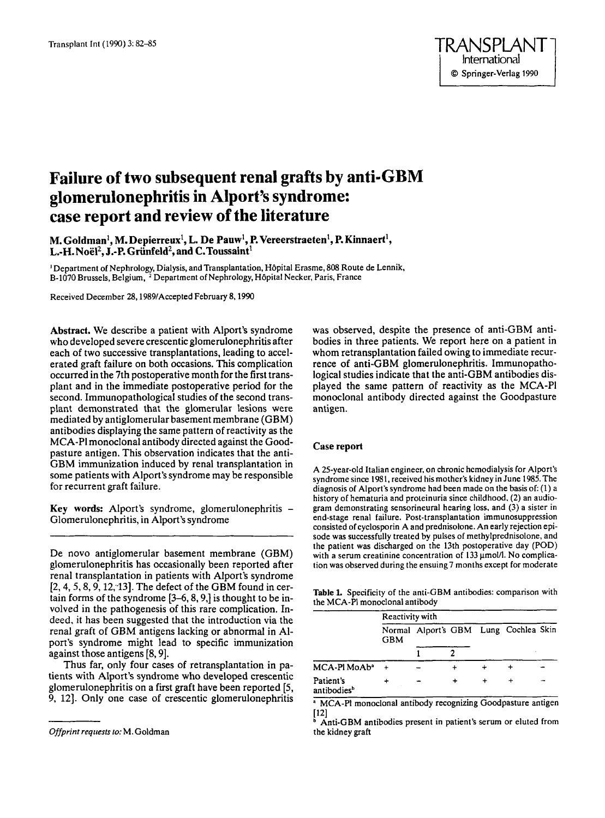# **Failure of two subsequent renal grafts by anti-GBM glomerulonephritis in Alport's syndrome: case report and review of the literature**

**M. Goldman', M. Depierreux', L. De Pauw', P. Vereerstraeten', P. Kinnaert', L.-H. Noel\*, J.-P. Grunfeld2, and C.Toussaint'** 

<sup>1</sup>Department of Nephrology, Dialysis, and Transplantation, Hôpital Erasme, 808 Route de Lennik, B-1070 Brussels, Belgium, <sup>2</sup> Department of Nephrology, Hôpital Necker, Paris, France

Received December 28,1989/Accepted February 8,1990

**Abstract.** We describe a patient with Alport's syndrome who developed severe crescentic glomerulonephritis after each of two successive transplantations, leading to accelerated graft failure on both occasions. **This** complication occurred in the 7th postoperative month for the first transplant and in the immediate postoperative period for the second. Immunopathological studies of the second transplant demonstrated that the glomerular lesions were mediated by antiglomerular basement membrane (GBM) antibodies displaying the same pattern of reactivity as the MCA-PI monoclonal antibody directed against the Goodpasture antigen. This observation indicates that the anti-GBM immunization induced by renal transplantation in some patients with Alport's syndrome may be responsible for recurrent graft failure.

**Key words:** Alport's syndrome, glomerulonephritis - Glornerulonephritis, in Alport's syndrome

De novo antiglomerular basement membrane (GBM) glomerulonephritis has occasionally been reported after renal transplantation in patients with Alport's syndrome  $[2, 4, 5, 8, 9, 12, 13]$ . The defect of the GBM found in certain forms of the syndrome [3-6,8,9,] is thought to be involved in the pathogenesis of this rare complication. Indeed. it has been suggested that the introduction via the renal graft of GBM antigens lacking or abnormal in Alport's syndrome might lead to specific immunization against those antigens *[S,* 91.

Thus far, only four cases of retransplantation in patients with Alport's syndrome who developed crescentic glomerulonephritis on a first graft have been reported [5, 9, 12]. Only one case of crescentic glomerulonephritis was observed, despite the presence **of** anti-GBM antibodies in three patients. We report here on a patient in whom retransplantation failed owing to immediate recurrence of anti-GBM glomerulonephritis. Immunopathological studies indicate that the anti-GEM antibodies displayed the same pattern **of** reactivity as the MCA-PI monoclonal antibody directed against the Goodpasture antigen.

## **Case report**

A 25-year-old Italian enginecr, on chronic hcmodialysis for Alport's syndrome since **1951.** received his mother's kidney in June 1985. The diagnosis *of* Alport's syndrome had been made on the basis of: (1) a history of hematuria and proteinuria since childhood. (2) an audiogram demonstrating sensorineural hearing loss, and (3) a sister in end-stage renal failure. Post-transplantation immunosuppression consisted of cyclosporin A and prednisolone. An early rejection episode was successfully treated **by** pulses of methylprednisolone, and the patient was discharged on the 13th postoperative day (POD) with a serum creatinine concentration of 133  $\mu$ mol/l. No complication was observed during the ensuing7 months except for moderate

Table **1.** Specificity of the anti-GBM antibodies: comparison with the MCA-PI monoclonal antibody

|                                      | Reactivity with |                                       |  |  |  |  |  |  |  |
|--------------------------------------|-----------------|---------------------------------------|--|--|--|--|--|--|--|
|                                      | <b>GBM</b>      | Normal Alport's GBM Lung Cochlea Skin |  |  |  |  |  |  |  |
|                                      |                 |                                       |  |  |  |  |  |  |  |
| MCA-PI MoAbª                         |                 |                                       |  |  |  |  |  |  |  |
| Patient's<br>antibodies <sup>b</sup> |                 |                                       |  |  |  |  |  |  |  |

<sup>a</sup> MCA-PI monoclonal antibody recognizing Goodpasture antigen

[12]<br>• Anti-GBM antibodies present in patient's serum or eluted from the kidney graft

*Offprint requests to:* M. Goldman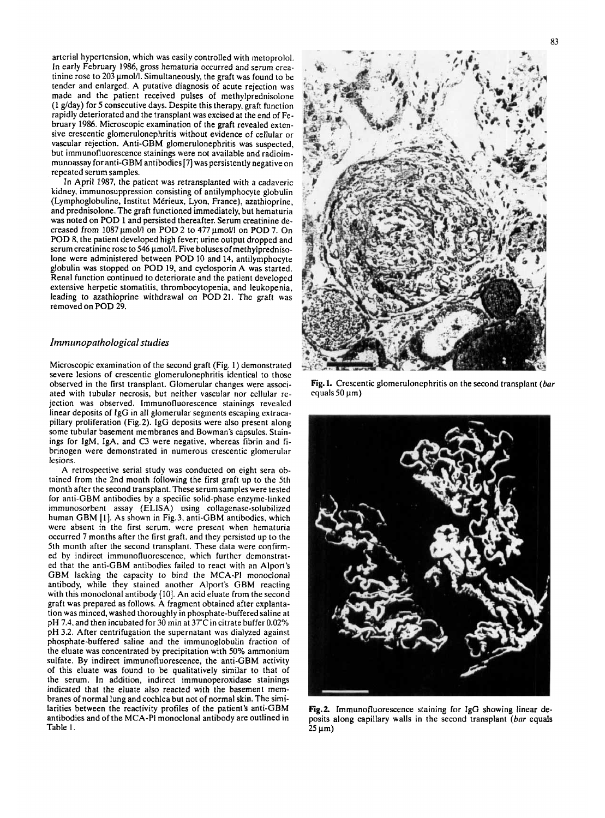arterial hypertension, which was easily controlled with metoprolol. **In** early February **1986,** gross hematuria occurred and serum creatinine rose to 203  $\mu$ mol/l. Simultaneously, the graft was found to be tender and enlarged. A putative diagnosis of acute rejection was made and the patient received pulses of methylprednisolone (1 glday) for **5** consecutive days. Despite this therapy, graft function rapidly deterioratcd and the transplant was excised at the end of February 1986. Microscopic examination of the graft revealed extensive crescentic glomerulonephritis without evidence of cellular or vascular rejection. Anti-GBM glomerulonephritis was suspected, but immunofluorescence stainings were not available and radioimmunoassay for anti-GBM antibodies **[7]** was persistently negative on repeated serum samples.

**In** April 19S7, the patient was retransplanted with a cadaveric kidney, immunosuppression consisting of antilymphocyte globulin (Lymphoglobuline, Institut Mérieux, Lyon, France), azathioprine, and prednisolone. The graft functioned immediately, but hematuria was noted on POD 1 and persisted thereafter. Serum creatinine decreased from 1087 µmol/l on POD 2 to 477 µmol/l on POD 7. On POD **8,** the patient developed high fever; urine output dropped and serum creatinine rose to 546  $\mu$ mol/l. Five boluses of methylprednisolone were administered between POD 10 and 14, antilymphocyte globulin was stopped on POD 19, and cyclosporin A was started. Renal function continued to deteriorate and the patient developed extensive herpetic stomatitis, thrombocytopenia. and leukopenia, leading to azathioprine withdrawal on POD 21. The graft was removed on POD 29.

## *Imntunopnthological studies*

Microscopic examination of the second graft (Fig. **1)** demonstrated severe lesions of crescentic glomerulonephritis identical to those observed in the first transplant. Glomerular changes were associated with tubular necrosis, but neither vascular nor cellular rejection was observed. Immunofluorescence stainings revealed linear deposits of IgG in all glomerular segments escaping extracapillary proliferation (Fig.2). IgG dcposits were also present along some tubular basement membranes and Bowman's capsules. Stainings for IgM, IgA. and C3 were negative, whereas fibrin and fibrinogen were demonstrated in numerous crescentic glomerular lesions.

A retrospective serial study was conducted on eight sera obtained from the 2nd month following the first graft up to the 5th month after the second transplant. These serum samples were tested for anti-GBM antibodies by a specific solid-phase enzyme-linked immunosorbent assay (ELISA) using collagenase-solubilized human GBM **[l].** As shown in Fig.3, anti-GBM antibodies, which were absent in the first serum. were present when hematuria occurred 7 months after the first graft, and they persisted up to the 5th month after the second transplant. These data were confirmed by indirect immunofluorescence. which further demonstrated that the anti-GBM antibodies failed to react with an Alport's GBM lacking the capacity to bind the MCA-PI monoclonal antibody, while they stained another Alport's GBM reacting with this monoclonal antibody [10]. An acid eluate from the second graft was prepared as follows. A fragment obtained after explantation was minced, washed thoroughly in phosphate-buffered saline at **pH** 7.4. and then incubated for *30* min at 37'Cin citrate buffer 0.02% pH 3.2. After centrifugation the supernatant was dialyzed against phosphate-buffered saline and the immunoglobulin fraction of the eluate was concentrated by precipitation with 50% ammonium sulfate. By indirect immunofluorescence, the anti-GBM activity of this eluate was found to be qualitatively similar to that of the serum. **In** addition, indirect immunoperoxidase stainings indicated that the eluate also reacted with the basement membranes of normal lung and cochlea but not of normal skin. The similarities between the reactivity profiles of the patient's anti-GBM antibodies and of the MCA-PI monoclonal antibody are outlined in Table **1.** 



Fig. 1. Crescentic glomeruloncphritis on the second transplant *(bar* equals  $50 \mu m$ )



**Fig.2.** Imrnunofluorescence staining for IgG showing linear deposits along capillary walls in the second transplant *(bar* equals  $25 \mu m$ )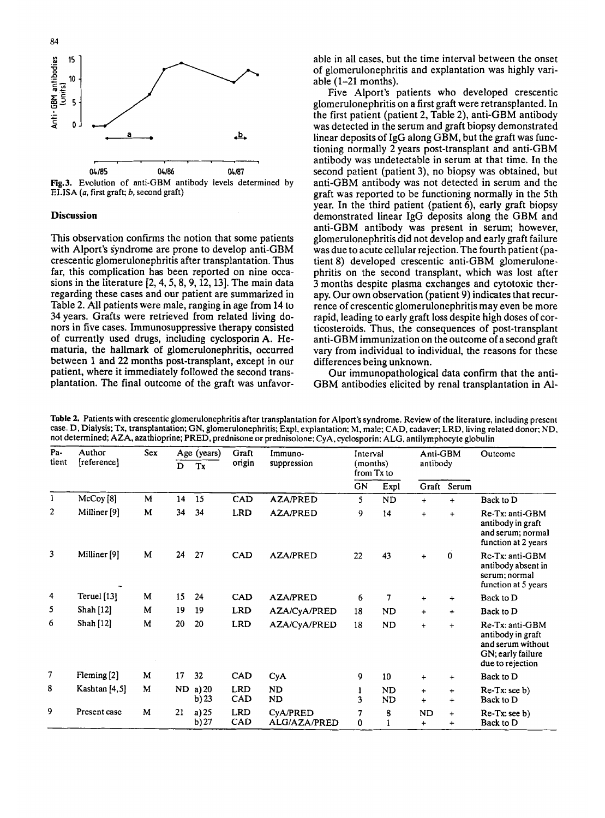

ELISA *(a,* first graft; b, second graft)

### **Discussion**

This observation confirms the notion that some patients with Alport's syndrome are prone to develop anti-GBM crescentic glomerulonephritis after transplantation. Thus far, this complication has been reported on nine occasions in the literature  $[2, 4, 5, 8, 9, 12, 13]$ . The main data regarding these cases and our patient are summarized in Table 2. All patients were male, ranging in age from 14 to 34years. Grafts were retrieved from related living donors in five cases. Immunosuppressive therapy consisted of currently used drugs, including cyclosporin **A.** Hematuria, the hallmark of glomerulonephritis, occurred between 1 and 22 months post-transplant, except in our patient, where it immediately followed the second transplantation. The final outcome of the graft was unfavorable in all cases, but the time interval between the onset of glomerulonephritis and explantation was highly variable  $(1-21$  months).

Five Alport's patients who developed crescentic glomerulonephritis **on** a first graft were retransplanted. In the first patient (patient 2, Table 2), anti-GBM antibody was detected in the serum and graft biopsy demonstrated linear deposits of IgG along GBM, but the graft was functioning normally **2** years post-transplant and anti-GBM antibody was undetectable in serum at that time. **In** the second patient (patient 3), no biopsy was obtained, but anti-GBM antibody was not detected in serum and the graft was reported to be functioning normally in the 5th year. In the third patient (patient 6), early graft biopsy demonstrated linear IgG deposits along the GBM and anti-GBM antibody was present in serum; however, glomerulonephritis did not develop and early graft failure was due to acute cellular rejection. The fourth patient (patient **8)** developed crescentic anti-GBM glomerulonephritis on the second transplant, which was lost after 3 months despite plasma exchanges and cytotoxic therapy. Our own observation (patient 9) indicates that recurrence of crescentic glomerulonephritis may even be more rapid, leading to early graft **loss** despite high doses of corticosteroids. Thus, the consequences of post-transplant anti-GBM immunization **on** the outcome of a second graft vary from individual to individual, the reasons for these differences being unknown.

Our immunopathological data confirm that the anti-GBM antibodies elicited by renal transplantation in Al-

| Pa-<br>tient | Author<br>[reference]   | Sex | Age (years)<br>D<br>Tx |                    | Graft<br>origin   | Immuno-<br>suppression          | Interval<br>(months)<br>from Tx to |                        | Anti-GBM<br>antibody |                         | Outcome                                                                                            |
|--------------|-------------------------|-----|------------------------|--------------------|-------------------|---------------------------------|------------------------------------|------------------------|----------------------|-------------------------|----------------------------------------------------------------------------------------------------|
|              |                         |     |                        |                    |                   |                                 | <b>GN</b>                          | Expl                   | Graft                | Serum                   |                                                                                                    |
| 1            | McCoy <sup>[8]</sup>    | M   | 14                     | 15                 | CAD               | <b>AZA/PRED</b>                 | 5.                                 | ND                     | $+$                  | $+$                     | Back to D                                                                                          |
| 2            | Milliner <sup>[9]</sup> | M   | 34                     | 34                 | <b>LRD</b>        | <b>AZA/PRED</b>                 | 9                                  | 14                     | $+$                  | ÷                       | Re-Tx: anti-GBM<br>antibody in graft<br>and serum; normal<br>function at 2 years                   |
| 3            | Milliner <sup>[9]</sup> | M   | 24                     | 27                 | CAD               | <b>AZA/PRED</b>                 | 22                                 | 43                     | $\ddot{}$            | $\Omega$                | Re-Tx: anti-GBM<br>antibody absent in<br>serum; normal<br>function at 5 years                      |
| 4            | Teruel [13]             | M   | 15                     | 24                 | CAD               | <b>AZA/PRED</b>                 | 6                                  | $\overline{7}$         | $\ddot{}$            | $\div$                  | Back to D                                                                                          |
| 5            | Shah [12]               | M   | 19                     | 19                 | <b>LRD</b>        | AZA/CyA/PRED                    | 18                                 | <b>ND</b>              | $+$                  | $\ddot{}$               | Back to D                                                                                          |
| 6            | Shah [12]               | M   | 20                     | 20                 | <b>LRD</b>        | AZA/CyA/PRED                    | 18                                 | <b>ND</b>              | $+$                  | $\ddot{}$               | Re-Tx: anti-GBM<br>antibody in graft<br>and serum without<br>GN; early failure<br>due to rejection |
| 7            | Fleming [2]             | M   | 17                     | 32                 | <b>CAD</b>        | <b>CyA</b>                      | 9                                  | 10                     | $\ddot{}$            | $\ddot{}$               | Back to D                                                                                          |
| 8            | Kashtan [4,5]           | М   | ND.                    | a) $20$<br>$b)$ 23 | <b>LRD</b><br>CAD | ND.<br><b>ND</b>                | 1<br>3                             | <b>ND</b><br><b>ND</b> | $+$<br>$+$           | $\ddot{}$<br>$\ddot{+}$ | $Re-Tx$ : see b)<br>Back to D                                                                      |
| 9            | Present case            | M   | 21                     | a)25<br>b) 27      | <b>LRD</b><br>CAD | <b>CyA/PRED</b><br>ALG/AZA/PRED | 7<br>0                             | 8<br>1                 | <b>ND</b><br>$+$     | $+$<br>$\ddot{}$        | Re-Tx: see b)<br>Back to D                                                                         |

Table 2. Patients with crescentic glomerulonephritis after transplantation for Alport's syndrome, Review of the literature, including present case. D, Dialysis; Tx, transplantation; GN, glomerulonephritis; Expl, explantation: M. male: CAD, cadaver; LRD, living related donor; ND, not determined; AZA, azathioprine; PRED, prednisone or prednisolone: CyA, cyclosporin: ALG. antilymphocyte globulin